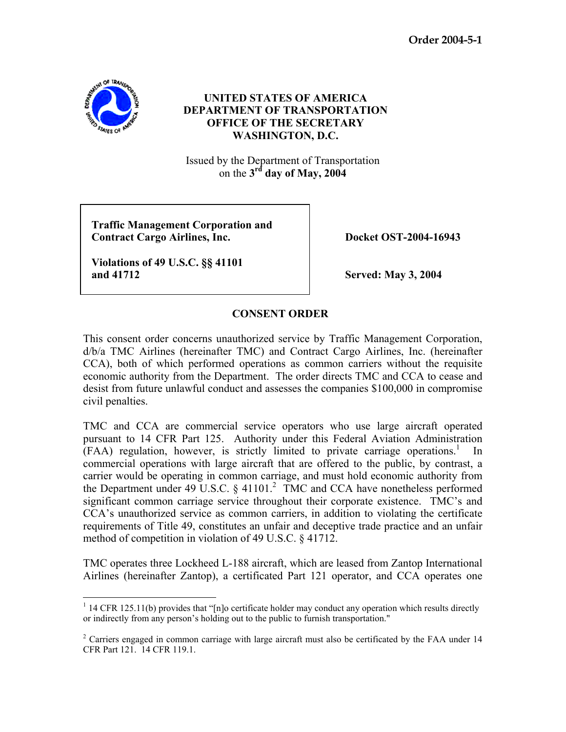**Order 2004-5-1** 



## **UNITED STATES OF AMERICA DEPARTMENT OF TRANSPORTATION OFFICE OF THE SECRETARY WASHINGTON, D.C.**

Issued by the Department of Transportation on the  $3<sup>rd</sup>$  day of May, 2004

 **Traffic Management Corporation and Contract Cargo Airlines, Inc.** Docket OST-2004-16943

 **Violations of 49 U.S.C. §§ 41101 and 41712 Served: May 3, 2004** 

## **CONSENT ORDER**

This consent order concerns unauthorized service by Traffic Management Corporation, d/b/a TMC Airlines (hereinafter TMC) and Contract Cargo Airlines, Inc. (hereinafter CCA), both of which performed operations as common carriers without the requisite economic authority from the Department. The order directs TMC and CCA to cease and desist from future unlawful conduct and assesses the companies \$100,000 in compromise civil penalties.

TMC and CCA are commercial service operators who use large aircraft operated pursuant to 14 CFR Part 125. Authority under this Federal Aviation Administration  $(FAA)$  regulation, however, is strictly limited to private carriage operations.<sup>1</sup> In commercial operations with large aircraft that are offered to the public, by contrast, a carrier would be operating in common carriage, and must hold economic authority from the Department under 49 U.S.C.  $\S$  41101.<sup>2</sup> TMC and CCA have nonetheless performed significant common carriage service throughout their corporate existence. TMC's and CCA's unauthorized service as common carriers, in addition to violating the certificate requirements of Title 49, constitutes an unfair and deceptive trade practice and an unfair method of competition in violation of 49 U.S.C. § 41712.

TMC operates three Lockheed L-188 aircraft, which are leased from Zantop International Airlines (hereinafter Zantop), a certificated Part 121 operator, and CCA operates one

<sup>-</sup><sup>1</sup> 14 CFR 125.11(b) provides that "[n]o certificate holder may conduct any operation which results directly or indirectly from any person's holding out to the public to furnish transportation."

<sup>&</sup>lt;sup>2</sup> Carriers engaged in common carriage with large aircraft must also be certificated by the FAA under 14 CFR Part 121. 14 CFR 119.1.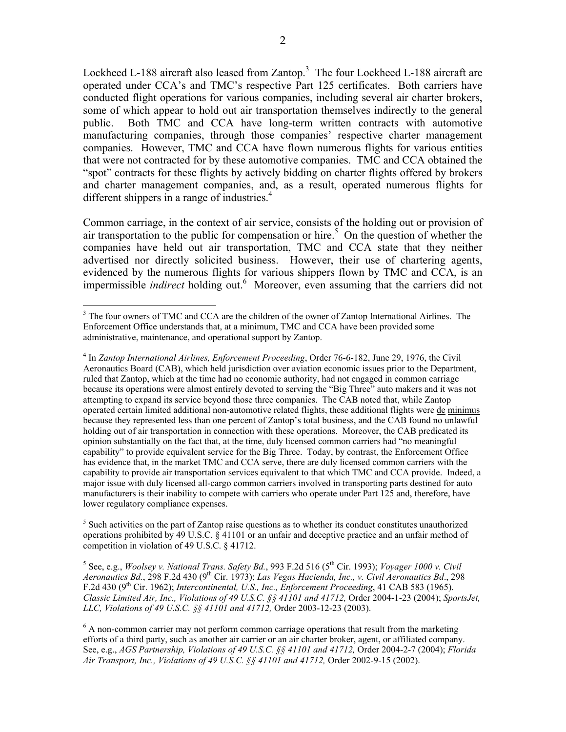Lockheed L-188 aircraft also leased from Zantop.<sup>3</sup> The four Lockheed L-188 aircraft are operated under CCA's and TMC's respective Part 125 certificates. Both carriers have conducted flight operations for various companies, including several air charter brokers, some of which appear to hold out air transportation themselves indirectly to the general public. Both TMC and CCA have long-term written contracts with automotive manufacturing companies, through those companies' respective charter management companies. However, TMC and CCA have flown numerous flights for various entities that were not contracted for by these automotive companies. TMC and CCA obtained the "spot" contracts for these flights by actively bidding on charter flights offered by brokers and charter management companies, and, as a result, operated numerous flights for different shippers in a range of industries.<sup>4</sup>

Common carriage, in the context of air service, consists of the holding out or provision of air transportation to the public for compensation or hire.<sup>5</sup> On the question of whether the companies have held out air transportation, TMC and CCA state that they neither advertised nor directly solicited business. However, their use of chartering agents, evidenced by the numerous flights for various shippers flown by TMC and CCA, is an impermissible *indirect* holding out.<sup>6</sup> Moreover, even assuming that the carriers did not

 $\overline{a}$ 

<sup>5</sup> Such activities on the part of Zantop raise questions as to whether its conduct constitutes unauthorized operations prohibited by 49 U.S.C. § 41101 or an unfair and deceptive practice and an unfair method of competition in violation of 49 U.S.C. § 41712.

<sup>5</sup> See, e.g., *Woolsey v. National Trans. Safety Bd.*, 993 F.2d 516 (5<sup>th</sup> Cir. 1993); *Voyager 1000 v. Civil Aeronautics Bd.*, 298 F.2d 430 (9th Cir. 1973); *Las Vegas Hacienda, Inc., v. Civil Aeronautics Bd*., 298 F.2d 430 (9th Cir. 1962); *Intercontinental, U.S., Inc., Enforcement Proceeding*, 41 CAB 583 (1965). *Classic Limited Air, Inc., Violations of 49 U.S.C. §§ 41101 and 41712,* Order 2004-1-23 (2004); *SportsJet, LLC, Violations of 49 U.S.C. §§ 41101 and 41712,* Order 2003-12-23 (2003).

<sup>&</sup>lt;sup>3</sup> The four owners of TMC and CCA are the children of the owner of Zantop International Airlines. The Enforcement Office understands that, at a minimum, TMC and CCA have been provided some administrative, maintenance, and operational support by Zantop.

<sup>4</sup> In *Zantop International Airlines, Enforcement Proceeding*, Order 76-6-182, June 29, 1976, the Civil Aeronautics Board (CAB), which held jurisdiction over aviation economic issues prior to the Department, ruled that Zantop, which at the time had no economic authority, had not engaged in common carriage because its operations were almost entirely devoted to serving the "Big Three" auto makers and it was not attempting to expand its service beyond those three companies. The CAB noted that, while Zantop operated certain limited additional non-automotive related flights, these additional flights were de minimus because they represented less than one percent of Zantop's total business, and the CAB found no unlawful holding out of air transportation in connection with these operations. Moreover, the CAB predicated its opinion substantially on the fact that, at the time, duly licensed common carriers had "no meaningful capability" to provide equivalent service for the Big Three. Today, by contrast, the Enforcement Office has evidence that, in the market TMC and CCA serve, there are duly licensed common carriers with the capability to provide air transportation services equivalent to that which TMC and CCA provide. Indeed, a major issue with duly licensed all-cargo common carriers involved in transporting parts destined for auto manufacturers is their inability to compete with carriers who operate under Part 125 and, therefore, have lower regulatory compliance expenses.

 $6$  A non-common carrier may not perform common carriage operations that result from the marketing efforts of a third party, such as another air carrier or an air charter broker, agent, or affiliated company. See, e.g., *AGS Partnership, Violations of 49 U.S.C. §§ 41101 and 41712,* Order 2004-2-7 (2004); *Florida Air Transport, Inc., Violations of 49 U.S.C. §§ 41101 and 41712,* Order 2002-9-15 (2002).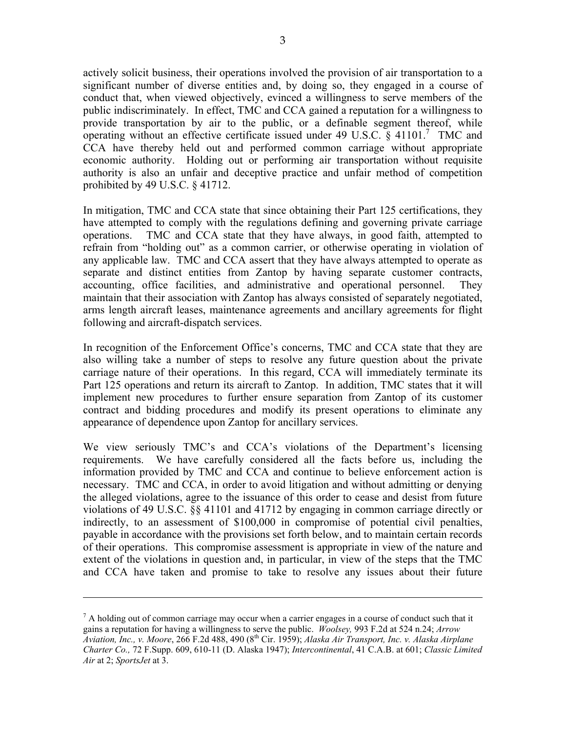actively solicit business, their operations involved the provision of air transportation to a significant number of diverse entities and, by doing so, they engaged in a course of conduct that, when viewed objectively, evinced a willingness to serve members of the public indiscriminately.In effect, TMC and CCA gained a reputation for a willingness to provide transportation by air to the public, or a definable segment thereof, while operating without an effective certificate issued under 49 U.S.C.  $\S$  41101.<sup>7</sup> TMC and CCA have thereby held out and performed common carriage without appropriate economic authority. Holding out or performing air transportation without requisite authority is also an unfair and deceptive practice and unfair method of competition prohibited by 49 U.S.C. § 41712.

In mitigation, TMC and CCA state that since obtaining their Part 125 certifications, they have attempted to comply with the regulations defining and governing private carriage operations. TMC and CCA state that they have always, in good faith, attempted to refrain from "holding out" as a common carrier, or otherwise operating in violation of any applicable law. TMC and CCA assert that they have always attempted to operate as separate and distinct entities from Zantop by having separate customer contracts, accounting, office facilities, and administrative and operational personnel. They maintain that their association with Zantop has always consisted of separately negotiated, arms length aircraft leases, maintenance agreements and ancillary agreements for flight following and aircraft-dispatch services.

In recognition of the Enforcement Office's concerns, TMC and CCA state that they are also willing take a number of steps to resolve any future question about the private carriage nature of their operations. In this regard, CCA will immediately terminate its Part 125 operations and return its aircraft to Zantop. In addition, TMC states that it will implement new procedures to further ensure separation from Zantop of its customer contract and bidding procedures and modify its present operations to eliminate any appearance of dependence upon Zantop for ancillary services.

We view seriously TMC's and CCA's violations of the Department's licensing requirements. We have carefully considered all the facts before us, including the information provided by TMC and CCA and continue to believe enforcement action is necessary. TMC and CCA, in order to avoid litigation and without admitting or denying the alleged violations, agree to the issuance of this order to cease and desist from future violations of 49 U.S.C. §§ 41101 and 41712 by engaging in common carriage directly or indirectly, to an assessment of \$100,000 in compromise of potential civil penalties, payable in accordance with the provisions set forth below, and to maintain certain records of their operations. This compromise assessment is appropriate in view of the nature and extent of the violations in question and, in particular, in view of the steps that the TMC and CCA have taken and promise to take to resolve any issues about their future

-

 $<sup>7</sup>$  A holding out of common carriage may occur when a carrier engages in a course of conduct such that it</sup> gains a reputation for having a willingness to serve the public. *Woolsey,* 993 F.2d at 524 n.24; *Arrow Aviation, Inc., v. Moore*, 266 F.2d 488, 490 (8th Cir. 1959); *Alaska Air Transport, Inc. v. Alaska Airplane Charter Co.,* 72 F.Supp. 609, 610-11 (D. Alaska 1947); *Intercontinental*, 41 C.A.B. at 601; *Classic Limited Air* at 2; *SportsJet* at 3.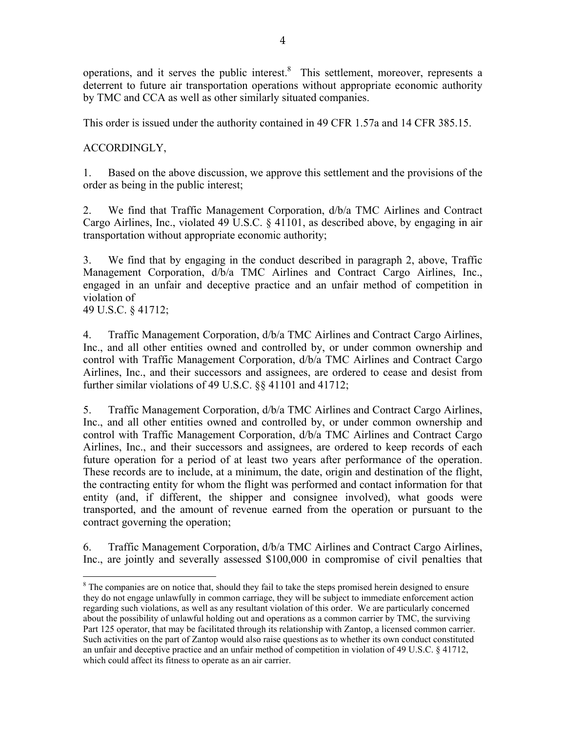operations, and it serves the public interest. $8$  This settlement, moreover, represents a deterrent to future air transportation operations without appropriate economic authority by TMC and CCA as well as other similarly situated companies.

This order is issued under the authority contained in 49 CFR 1.57a and 14 CFR 385.15.

ACCORDINGLY,

1. Based on the above discussion, we approve this settlement and the provisions of the order as being in the public interest;

2. We find that Traffic Management Corporation, d/b/a TMC Airlines and Contract Cargo Airlines, Inc., violated 49 U.S.C. § 41101, as described above, by engaging in air transportation without appropriate economic authority;

3. We find that by engaging in the conduct described in paragraph 2, above, Traffic Management Corporation, d/b/a TMC Airlines and Contract Cargo Airlines, Inc., engaged in an unfair and deceptive practice and an unfair method of competition in violation of

49 U.S.C. § 41712;

 $\overline{a}$ 

4. Traffic Management Corporation, d/b/a TMC Airlines and Contract Cargo Airlines, Inc., and all other entities owned and controlled by, or under common ownership and control with Traffic Management Corporation, d/b/a TMC Airlines and Contract Cargo Airlines, Inc., and their successors and assignees, are ordered to cease and desist from further similar violations of 49 U.S.C. §§ 41101 and 41712;

5. Traffic Management Corporation, d/b/a TMC Airlines and Contract Cargo Airlines, Inc., and all other entities owned and controlled by, or under common ownership and control with Traffic Management Corporation, d/b/a TMC Airlines and Contract Cargo Airlines, Inc., and their successors and assignees, are ordered to keep records of each future operation for a period of at least two years after performance of the operation. These records are to include, at a minimum, the date, origin and destination of the flight, the contracting entity for whom the flight was performed and contact information for that entity (and, if different, the shipper and consignee involved), what goods were transported, and the amount of revenue earned from the operation or pursuant to the contract governing the operation;

6. Traffic Management Corporation, d/b/a TMC Airlines and Contract Cargo Airlines, Inc., are jointly and severally assessed \$100,000 in compromise of civil penalties that

<sup>&</sup>lt;sup>8</sup> The companies are on notice that, should they fail to take the steps promised herein designed to ensure they do not engage unlawfully in common carriage, they will be subject to immediate enforcement action regarding such violations, as well as any resultant violation of this order. We are particularly concerned about the possibility of unlawful holding out and operations as a common carrier by TMC, the surviving Part 125 operator, that may be facilitated through its relationship with Zantop, a licensed common carrier. Such activities on the part of Zantop would also raise questions as to whether its own conduct constituted an unfair and deceptive practice and an unfair method of competition in violation of 49 U.S.C. § 41712, which could affect its fitness to operate as an air carrier.